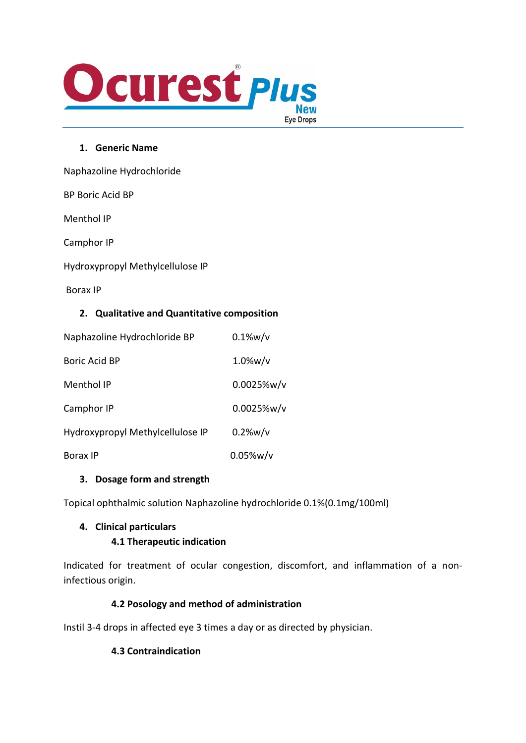

### **1. Generic Name**

Naphazoline Hydrochloride

BP Boric Acid BP

Menthol IP

Camphor IP

Hydroxypropyl Methylcellulose IP

Borax IP

### **2. Qualitative and Quantitative composition**

| Naphazoline Hydrochloride BP     | $0.1\%$ w/v   |
|----------------------------------|---------------|
| Boric Acid BP                    | $1.0\%$ w/v   |
| Menthol IP                       | $0.0025%$ w/v |
| Camphor IP                       | $0.0025%$ w/v |
| Hydroxypropyl Methylcellulose IP | 0.2%w/v       |
| <b>Borax IP</b>                  | $0.05\%$ w/v  |

### **3. Dosage form and strength**

Topical ophthalmic solution Naphazoline hydrochloride 0.1%(0.1mg/100ml)

### **4. Clinical particulars**

### **4.1 Therapeutic indication**

Indicated for treatment of ocular congestion, discomfort, and inflammation of a noninfectious origin.

## **4.2 Posology and method of administration**

Instil 3-4 drops in affected eye 3 times a day or as directed by physician.

### **4.3 Contraindication**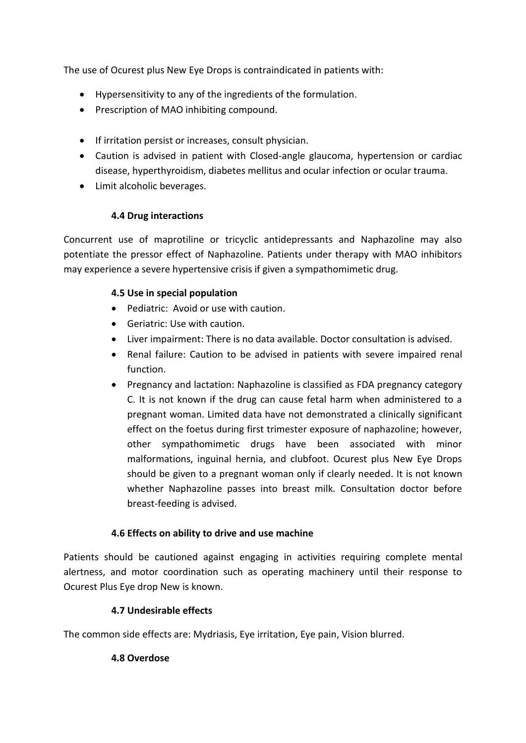The use of Ocurest plus New Eye Drops is contraindicated in patients with:

- Hypersensitivity to any of the ingredients of the formulation.
- Prescription of MAO inhibiting compound.
- If irritation persist or increases, consult physician.
- Caution is advised in patient with Closed-angle glaucoma, hypertension or cardiac disease, hyperthyroidism, diabetes mellitus and ocular infection or ocular trauma.
- Limit alcoholic beverages.

## **4.4 Drug interactions**

Concurrent use of maprotiline or tricyclic antidepressants and Naphazoline may also potentiate the pressor effect of Naphazoline. Patients under therapy with MAO inhibitors may experience a severe hypertensive crisis if given a sympathomimetic drug.

## **4.5 Use in special population**

- Pediatric: Avoid or use with caution.
- Geriatric: Use with caution.
- Liver impairment: There is no data available. Doctor consultation is advised.
- Renal failure: Caution to be advised in patients with severe impaired renal function.
- Pregnancy and lactation: Naphazoline is classified as FDA pregnancy category C. It is not known if the drug can cause fetal harm when administered to a pregnant woman. Limited data have not demonstrated a clinically significant effect on the foetus during first trimester exposure of naphazoline; however, other sympathomimetic drugs have been associated with minor malformations, inguinal hernia, and clubfoot. Ocurest plus New Eye Drops should be given to a pregnant woman only if clearly needed. It is not known whether Naphazoline passes into breast milk. Consultation doctor before breast-feeding is advised.

## **4.6 Effects on ability to drive and use machine**

Patients should be cautioned against engaging in activities requiring complete mental alertness, and motor coordination such as operating machinery until their response to Ocurest Plus Eye drop New is known.

## **4.7 Undesirable effects**

The common side effects are: Mydriasis, Eye irritation, Eye pain, Vision blurred.

## **4.8 Overdose**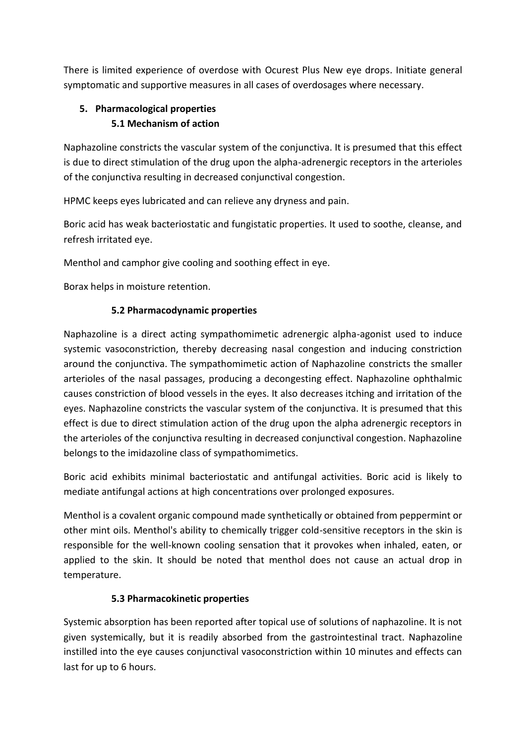There is limited experience of overdose with Ocurest Plus New eye drops. Initiate general symptomatic and supportive measures in all cases of overdosages where necessary.

# **5. Pharmacological properties 5.1 Mechanism of action**

Naphazoline constricts the vascular system of the conjunctiva. It is presumed that this effect is due to direct stimulation of the drug upon the alpha-adrenergic receptors in the arterioles of the conjunctiva resulting in decreased conjunctival congestion.

HPMC keeps eyes lubricated and can relieve any dryness and pain.

Boric acid has weak bacteriostatic and fungistatic properties. It used to soothe, cleanse, and refresh irritated eye.

Menthol and camphor give cooling and soothing effect in eye.

Borax helps in moisture retention.

# **5.2 Pharmacodynamic properties**

Naphazoline is a direct acting sympathomimetic adrenergic alpha-agonist used to induce systemic vasoconstriction, thereby decreasing nasal congestion and inducing constriction around the conjunctiva. The sympathomimetic action of Naphazoline constricts the smaller arterioles of the nasal passages, producing a decongesting effect. Naphazoline ophthalmic causes constriction of blood vessels in the eyes. It also decreases itching and irritation of the eyes. Naphazoline constricts the vascular system of the conjunctiva. It is presumed that this effect is due to direct stimulation action of the drug upon the alpha adrenergic receptors in the arterioles of the conjunctiva resulting in decreased conjunctival congestion. Naphazoline belongs to the imidazoline class of sympathomimetics.

Boric acid exhibits minimal bacteriostatic and antifungal activities. Boric acid is likely to mediate antifungal actions at high concentrations over prolonged exposures.

Menthol is a covalent organic compound made synthetically or obtained from peppermint or other mint oils. Menthol's ability to chemically trigger cold-sensitive receptors in the skin is responsible for the well-known cooling sensation that it provokes when inhaled, eaten, or applied to the skin. It should be noted that menthol does not cause an actual drop in temperature.

# **5.3 Pharmacokinetic properties**

Systemic absorption has been reported after topical use of solutions of naphazoline. It is not given systemically, but it is readily absorbed from the gastrointestinal tract. Naphazoline instilled into the eye causes conjunctival vasoconstriction within 10 minutes and effects can last for up to 6 hours.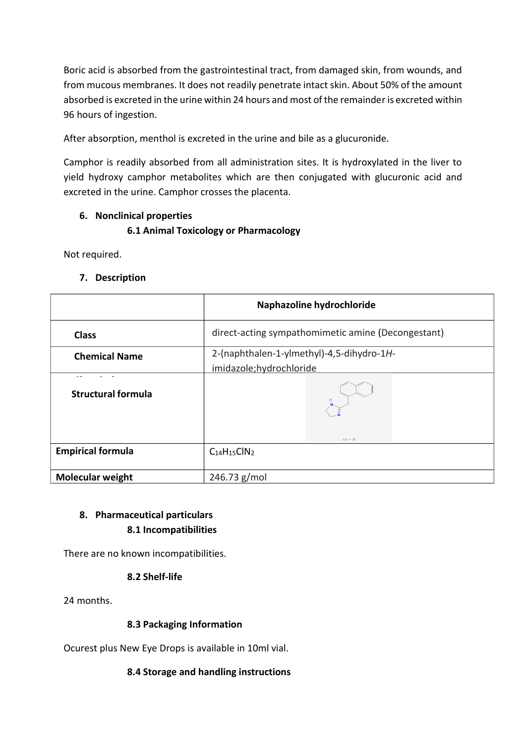Boric acid is absorbed from the gastrointestinal tract, from damaged skin, from wounds, and from mucous membranes. It does not readily penetrate intact skin. About 50% of the amount absorbed is excreted in the urine within 24 hours and most of the remainder is excreted within 96 hours of ingestion.

After absorption, menthol is excreted in the urine and bile as a glucuronide.

Camphor is readily absorbed from all administration sites. It is hydroxylated in the liver to yield hydroxy camphor metabolites which are then conjugated with glucuronic acid and excreted in the urine. Camphor crosses the placenta.

## **6. Nonclinical properties**

# **6.1 Animal Toxicology or Pharmacology**

Not required.

## **7. Description**

|                           | Naphazoline hydrochloride                                            |  |
|---------------------------|----------------------------------------------------------------------|--|
| <b>Class</b>              | direct-acting sympathomimetic amine (Decongestant)                   |  |
| <b>Chemical Name</b>      | 2-(naphthalen-1-ylmethyl)-4,5-dihydro-1H-<br>imidazole;hydrochloride |  |
| <b>Structural formula</b> | $CI - H$                                                             |  |
| <b>Empirical formula</b>  | $C14H15ClN2$                                                         |  |
| <b>Molecular weight</b>   | 246.73 g/mol                                                         |  |

# **8. Pharmaceutical particulars 8.1 Incompatibilities**

There are no known incompatibilities.

## **8.2 Shelf-life**

24 months.

## **8.3 Packaging Information**

Ocurest plus New Eye Drops is available in 10ml vial.

## **8.4 Storage and handling instructions**